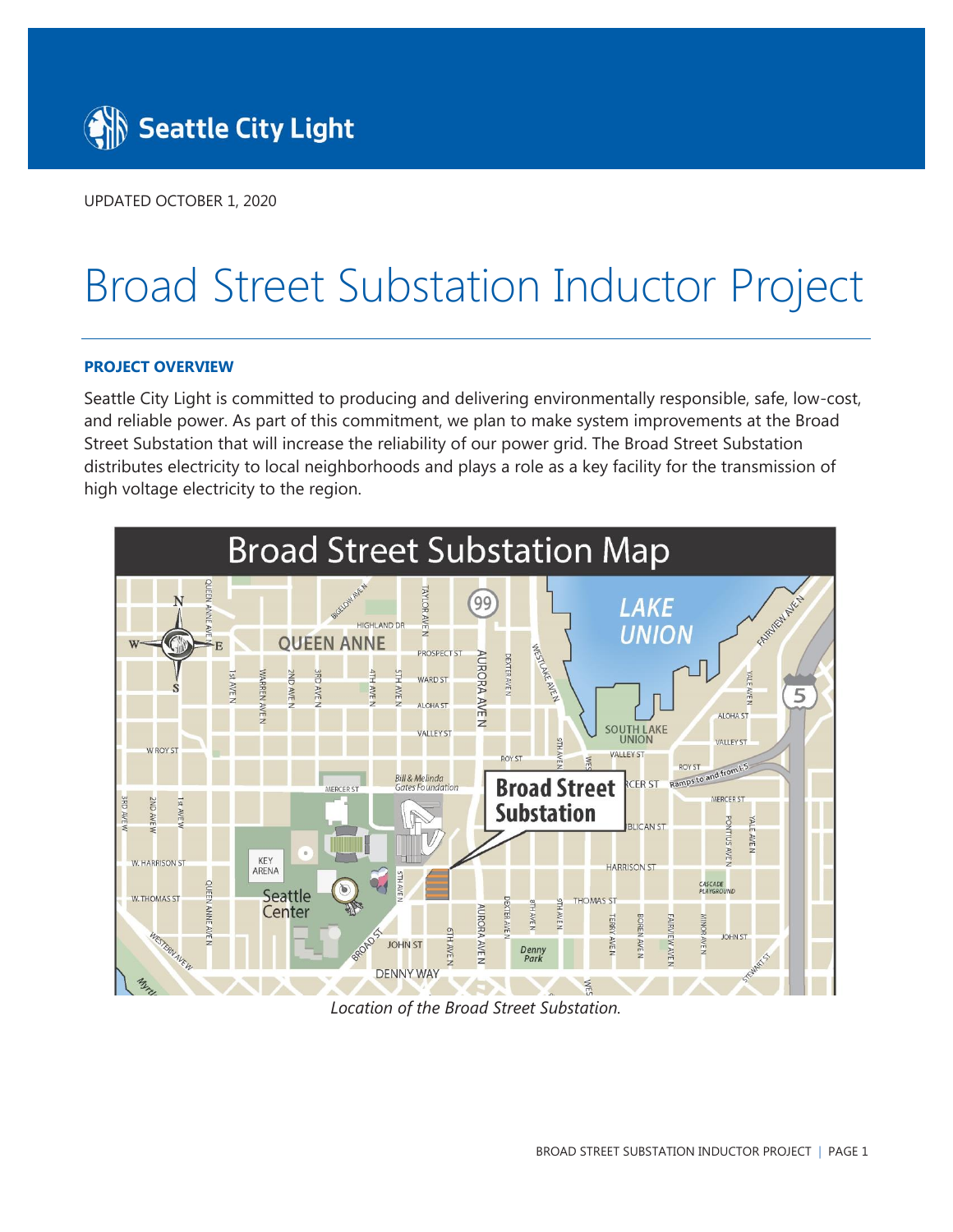

UPDATED OCTOBER 1, 2020

# Broad Street Substation Inductor Project

# **PROJECT OVERVIEW**

Seattle City Light is committed to producing and delivering environmentally responsible, safe, low-cost, and reliable power. As part of this commitment, we plan to make system improvements at the Broad Street Substation that will increase the reliability of our power grid. The Broad Street Substation distributes electricity to local neighborhoods and plays a role as a key facility for the transmission of high voltage electricity to the region.



*Location of the Broad Street Substation.*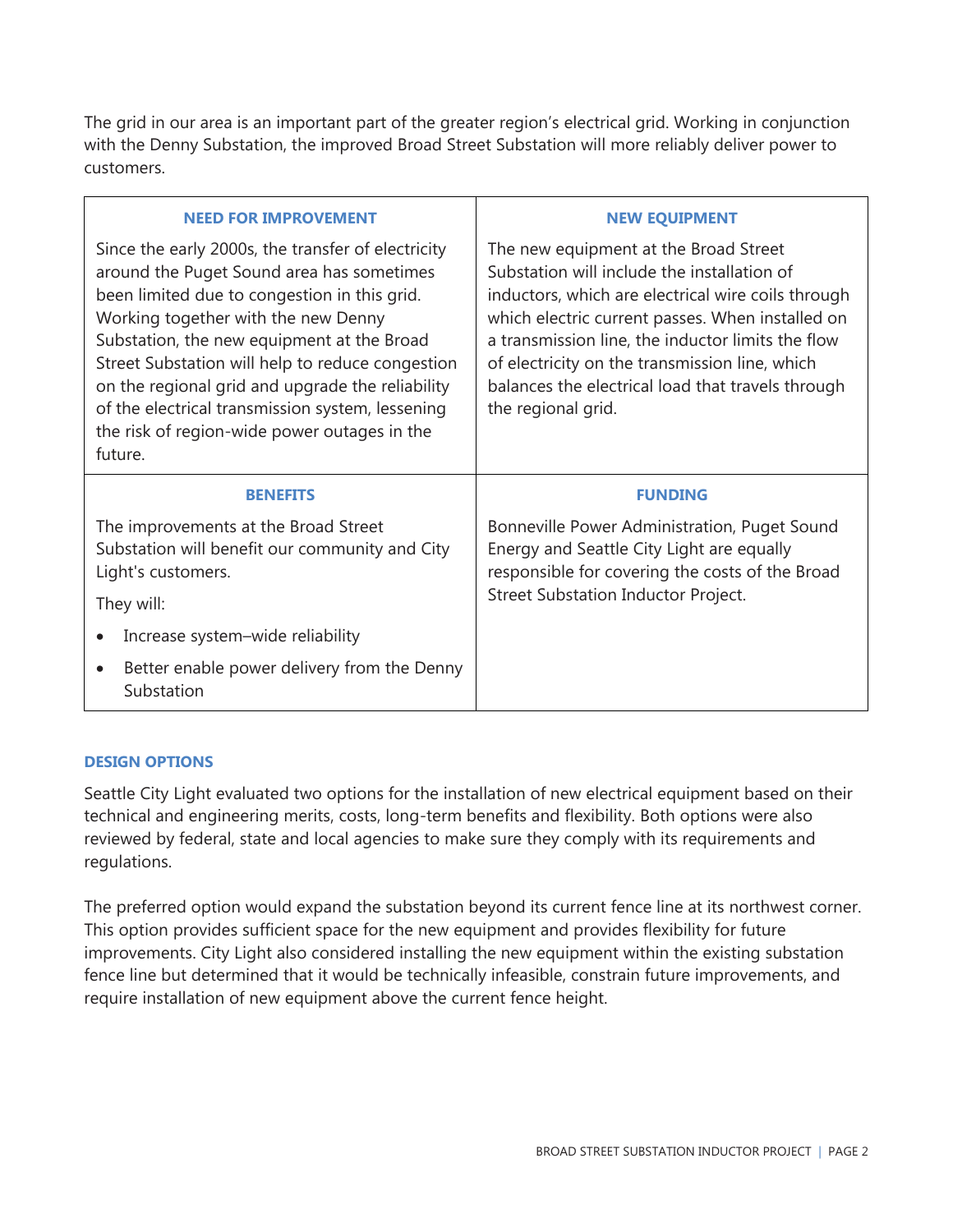The grid in our area is an important part of the greater region's electrical grid. Working in conjunction with the Denny Substation, the improved Broad Street Substation will more reliably deliver power to customers.

| <b>NEED FOR IMPROVEMENT</b>                                                                                                                                                                                                                                                                                                                                                                                                                                 | <b>NEW EQUIPMENT</b>                                                                                                                                                                                                                                                                                                                                                             |
|-------------------------------------------------------------------------------------------------------------------------------------------------------------------------------------------------------------------------------------------------------------------------------------------------------------------------------------------------------------------------------------------------------------------------------------------------------------|----------------------------------------------------------------------------------------------------------------------------------------------------------------------------------------------------------------------------------------------------------------------------------------------------------------------------------------------------------------------------------|
| Since the early 2000s, the transfer of electricity<br>around the Puget Sound area has sometimes<br>been limited due to congestion in this grid.<br>Working together with the new Denny<br>Substation, the new equipment at the Broad<br>Street Substation will help to reduce congestion<br>on the regional grid and upgrade the reliability<br>of the electrical transmission system, lessening<br>the risk of region-wide power outages in the<br>future. | The new equipment at the Broad Street<br>Substation will include the installation of<br>inductors, which are electrical wire coils through<br>which electric current passes. When installed on<br>a transmission line, the inductor limits the flow<br>of electricity on the transmission line, which<br>balances the electrical load that travels through<br>the regional grid. |
|                                                                                                                                                                                                                                                                                                                                                                                                                                                             |                                                                                                                                                                                                                                                                                                                                                                                  |
| <b>BENEFITS</b>                                                                                                                                                                                                                                                                                                                                                                                                                                             | <b>FUNDING</b>                                                                                                                                                                                                                                                                                                                                                                   |
| The improvements at the Broad Street<br>Substation will benefit our community and City<br>Light's customers.<br>They will:                                                                                                                                                                                                                                                                                                                                  | Bonneville Power Administration, Puget Sound<br>Energy and Seattle City Light are equally<br>responsible for covering the costs of the Broad<br>Street Substation Inductor Project.                                                                                                                                                                                              |
| Increase system-wide reliability<br>$\bullet$                                                                                                                                                                                                                                                                                                                                                                                                               |                                                                                                                                                                                                                                                                                                                                                                                  |

# **DESIGN OPTIONS**

Seattle City Light evaluated two options for the installation of new electrical equipment based on their technical and engineering merits, costs, long-term benefits and flexibility. Both options were also reviewed by federal, state and local agencies to make sure they comply with its requirements and regulations.

The preferred option would expand the substation beyond its current fence line at its northwest corner. This option provides sufficient space for the new equipment and provides flexibility for future improvements. City Light also considered installing the new equipment within the existing substation fence line but determined that it would be technically infeasible, constrain future improvements, and require installation of new equipment above the current fence height.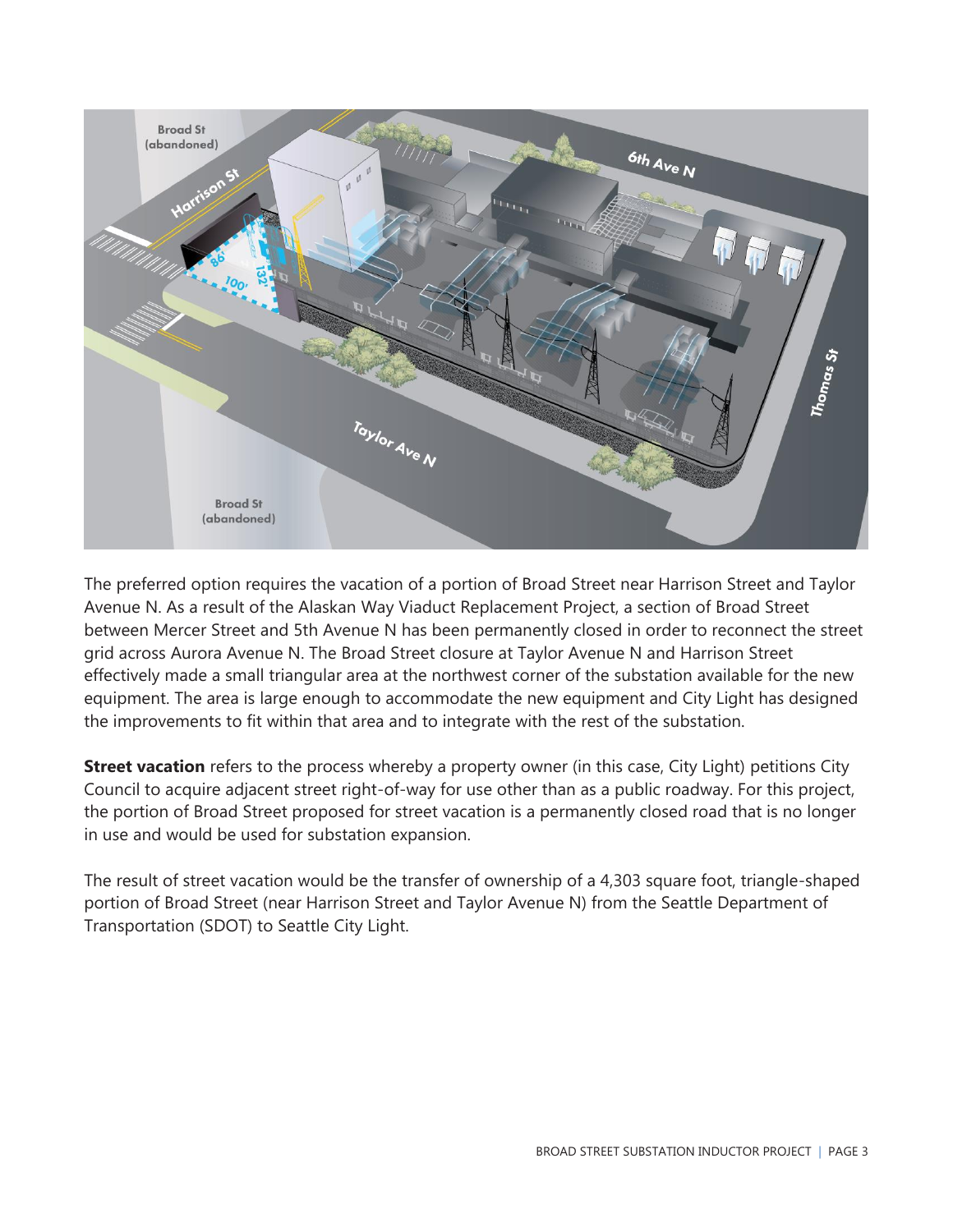

The preferred option requires the vacation of a portion of Broad Street near Harrison Street and Taylor Avenue N. As a result of the Alaskan Way Viaduct Replacement Project, a section of Broad Street between Mercer Street and 5th Avenue N has been permanently closed in order to reconnect the street grid across Aurora Avenue N. The Broad Street closure at Taylor Avenue N and Harrison Street effectively made a small triangular area at the northwest corner of the substation available for the new equipment. The area is large enough to accommodate the new equipment and City Light has designed the improvements to fit within that area and to integrate with the rest of the substation.

**Street vacation** refers to the process whereby a property owner (in this case, City Light) petitions City Council to acquire adjacent street right-of-way for use other than as a public roadway. For this project, the portion of Broad Street proposed for street vacation is a permanently closed road that is no longer in use and would be used for substation expansion.

The result of street vacation would be the transfer of ownership of a 4,303 square foot, triangle-shaped portion of Broad Street (near Harrison Street and Taylor Avenue N) from the Seattle Department of Transportation (SDOT) to Seattle City Light.